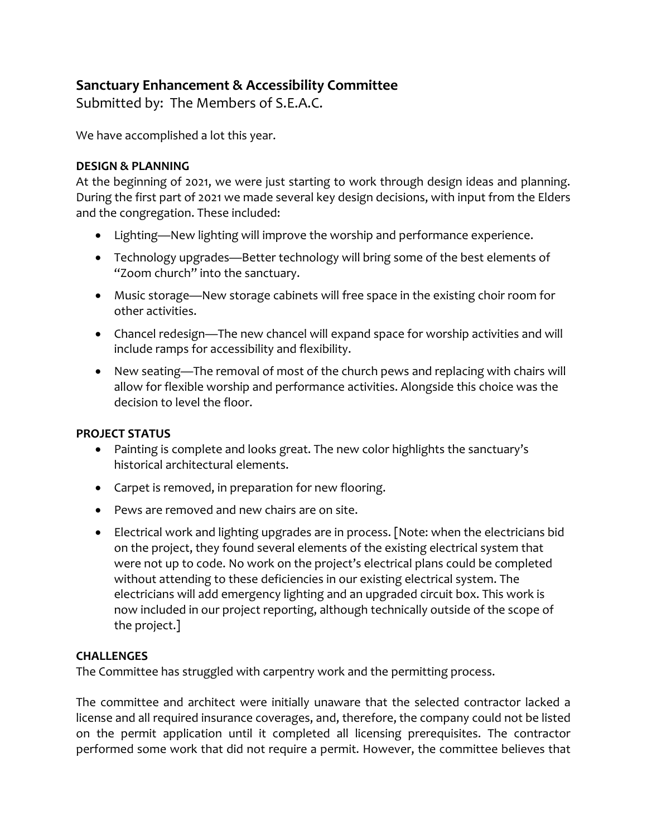# **Sanctuary Enhancement & Accessibility Committee**

Submitted by: The Members of S.E.A.C.

We have accomplished a lot this year.

## **DESIGN & PLANNING**

At the beginning of 2021, we were just starting to work through design ideas and planning. During the first part of 2021 we made several key design decisions, with input from the Elders and the congregation. These included:

- Lighting—New lighting will improve the worship and performance experience.
- Technology upgrades—Better technology will bring some of the best elements of "Zoom church" into the sanctuary.
- Music storage—New storage cabinets will free space in the existing choir room for other activities.
- Chancel redesign—The new chancel will expand space for worship activities and will include ramps for accessibility and flexibility.
- New seating—The removal of most of the church pews and replacing with chairs will allow for flexible worship and performance activities. Alongside this choice was the decision to level the floor.

### **PROJECT STATUS**

- Painting is complete and looks great. The new color highlights the sanctuary's historical architectural elements.
- Carpet is removed, in preparation for new flooring.
- Pews are removed and new chairs are on site.
- Electrical work and lighting upgrades are in process. [Note: when the electricians bid on the project, they found several elements of the existing electrical system that were not up to code. No work on the project's electrical plans could be completed without attending to these deficiencies in our existing electrical system. The electricians will add emergency lighting and an upgraded circuit box. This work is now included in our project reporting, although technically outside of the scope of the project.]

### **CHALLENGES**

The Committee has struggled with carpentry work and the permitting process.

The committee and architect were initially unaware that the selected contractor lacked a license and all required insurance coverages, and, therefore, the company could not be listed on the permit application until it completed all licensing prerequisites. The contractor performed some work that did not require a permit. However, the committee believes that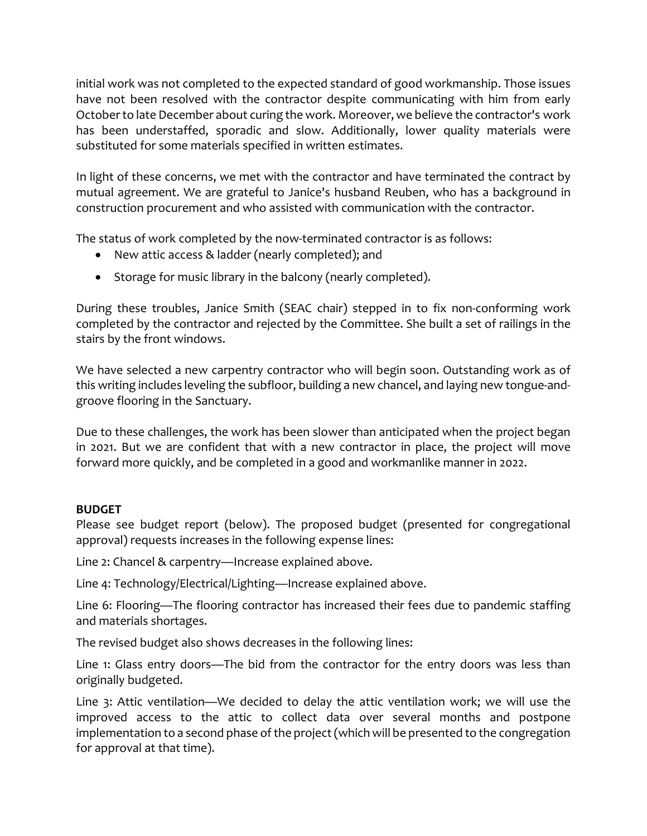initial work was not completed to the expected standard of good workmanship. Those issues have not been resolved with the contractor despite communicating with him from early Octoberto late December about curing the work. Moreover, we believe the contractor's work has been understaffed, sporadic and slow. Additionally, lower quality materials were substituted for some materials specified in written estimates.

In light of these concerns, we met with the contractor and have terminated the contract by mutual agreement. We are grateful to Janice's husband Reuben, who has a background in construction procurement and who assisted with communication with the contractor.

The status of work completed by the now-terminated contractor is as follows:

- New attic access & ladder (nearly completed); and
- Storage for music library in the balcony (nearly completed).

During these troubles, Janice Smith (SEAC chair) stepped in to fix non-conforming work completed by the contractor and rejected by the Committee. She built a set of railings in the stairs by the front windows.

We have selected a new carpentry contractor who will begin soon. Outstanding work as of this writing includes leveling the subfloor, building a new chancel, and laying new tongue-andgroove flooring in the Sanctuary.

Due to these challenges, the work has been slower than anticipated when the project began in 2021. But we are confident that with a new contractor in place, the project will move forward more quickly, and be completed in a good and workmanlike manner in 2022.

### **BUDGET**

Please see budget report (below). The proposed budget (presented for congregational approval) requests increases in the following expense lines:

Line 2: Chancel & carpentry—Increase explained above.

Line 4: Technology/Electrical/Lighting—Increase explained above.

Line 6: Flooring—The flooring contractor has increased their fees due to pandemic staffing and materials shortages.

The revised budget also shows decreases in the following lines:

Line 1: Glass entry doors—The bid from the contractor for the entry doors was less than originally budgeted.

Line 3: Attic ventilation—We decided to delay the attic ventilation work; we will use the improved access to the attic to collect data over several months and postpone implementation to a second phase of the project (which will be presented to the congregation for approval at that time).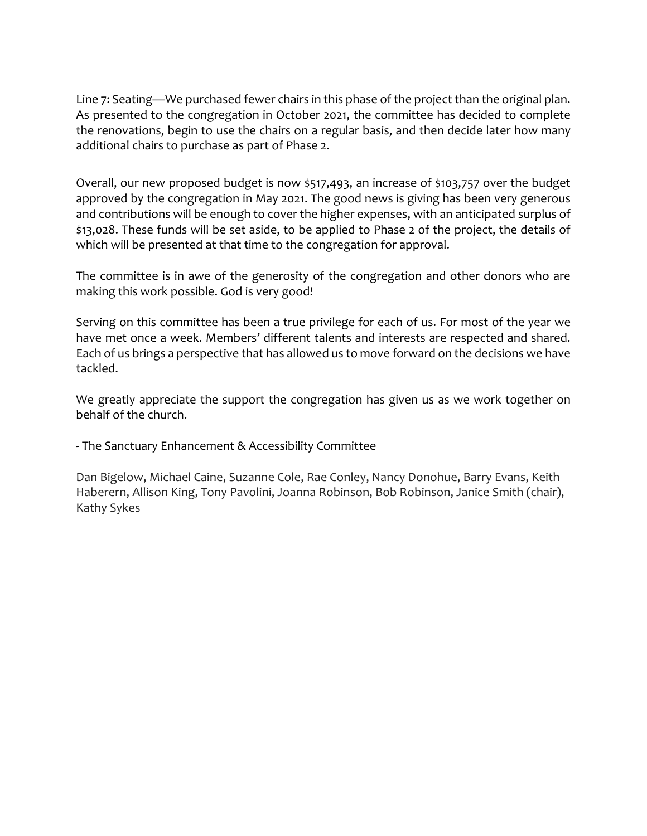Line 7: Seating—We purchased fewer chairs in this phase of the project than the original plan. As presented to the congregation in October 2021, the committee has decided to complete the renovations, begin to use the chairs on a regular basis, and then decide later how many additional chairs to purchase as part of Phase 2.

Overall, our new proposed budget is now \$517,493, an increase of \$103,757 over the budget approved by the congregation in May 2021. The good news is giving has been very generous and contributions will be enough to cover the higher expenses, with an anticipated surplus of \$13,028. These funds will be set aside, to be applied to Phase 2 of the project, the details of which will be presented at that time to the congregation for approval.

The committee is in awe of the generosity of the congregation and other donors who are making this work possible. God is very good!

Serving on this committee has been a true privilege for each of us. For most of the year we have met once a week. Members' different talents and interests are respected and shared. Each of us brings a perspective that has allowed us to move forward on the decisions we have tackled.

We greatly appreciate the support the congregation has given us as we work together on behalf of the church.

- The Sanctuary Enhancement & Accessibility Committee

Dan Bigelow, Michael Caine, Suzanne Cole, Rae Conley, Nancy Donohue, Barry Evans, Keith Haberern, Allison King, Tony Pavolini, Joanna Robinson, Bob Robinson, Janice Smith (chair), Kathy Sykes